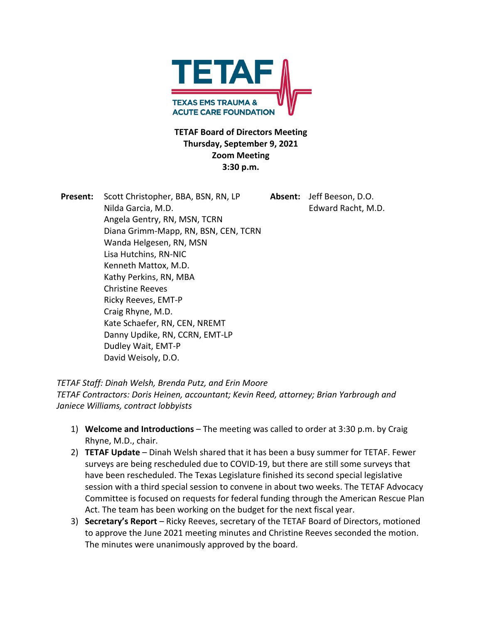

## **TETAF Board of Directors Meeting Thursday, September 9, 2021 Zoom Meeting 3:30 p.m.**

**Present:** Scott Christopher, BBA, BSN, RN, LP **Absent:** Jeff Beeson, D.O. Nilda Garcia, M.D. Edward Racht, M.D. Angela Gentry, RN, MSN, TCRN Diana Grimm-Mapp, RN, BSN, CEN, TCRN Wanda Helgesen, RN, MSN Lisa Hutchins, RN-NIC Kenneth Mattox, M.D. Kathy Perkins, RN, MBA Christine Reeves Ricky Reeves, EMT-P Craig Rhyne, M.D. Kate Schaefer, RN, CEN, NREMT Danny Updike, RN, CCRN, EMT-LP Dudley Wait, EMT-P David Weisoly, D.O.

*TETAF Staff: Dinah Welsh, Brenda Putz, and Erin Moore* 

*TETAF Contractors: Doris Heinen, accountant; Kevin Reed, attorney; Brian Yarbrough and Janiece Williams, contract lobbyists* 

- 1) **Welcome and Introductions** The meeting was called to order at 3:30 p.m. by Craig Rhyne, M.D., chair.
- 2) **TETAF Update** Dinah Welsh shared that it has been a busy summer for TETAF. Fewer surveys are being rescheduled due to COVID-19, but there are still some surveys that have been rescheduled. The Texas Legislature finished its second special legislative session with a third special session to convene in about two weeks. The TETAF Advocacy Committee is focused on requests for federal funding through the American Rescue Plan Act. The team has been working on the budget for the next fiscal year.
- 3) **Secretary's Report** Ricky Reeves, secretary of the TETAF Board of Directors, motioned to approve the June 2021 meeting minutes and Christine Reeves seconded the motion. The minutes were unanimously approved by the board.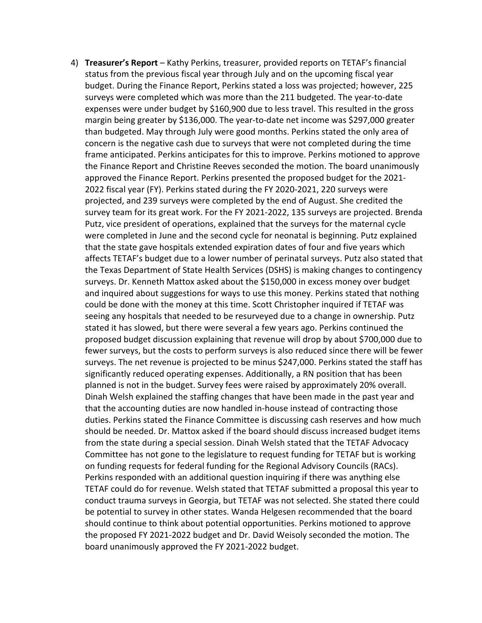4) **Treasurer's Report** – Kathy Perkins, treasurer, provided reports on TETAF's financial status from the previous fiscal year through July and on the upcoming fiscal year budget. During the Finance Report, Perkins stated a loss was projected; however, 225 surveys were completed which was more than the 211 budgeted. The year-to-date expenses were under budget by \$160,900 due to less travel. This resulted in the gross margin being greater by \$136,000. The year-to-date net income was \$297,000 greater than budgeted. May through July were good months. Perkins stated the only area of concern is the negative cash due to surveys that were not completed during the time frame anticipated. Perkins anticipates for this to improve. Perkins motioned to approve the Finance Report and Christine Reeves seconded the motion. The board unanimously approved the Finance Report. Perkins presented the proposed budget for the 2021- 2022 fiscal year (FY). Perkins stated during the FY 2020-2021, 220 surveys were projected, and 239 surveys were completed by the end of August. She credited the survey team for its great work. For the FY 2021-2022, 135 surveys are projected. Brenda Putz, vice president of operations, explained that the surveys for the maternal cycle were completed in June and the second cycle for neonatal is beginning. Putz explained that the state gave hospitals extended expiration dates of four and five years which affects TETAF's budget due to a lower number of perinatal surveys. Putz also stated that the Texas Department of State Health Services (DSHS) is making changes to contingency surveys. Dr. Kenneth Mattox asked about the \$150,000 in excess money over budget and inquired about suggestions for ways to use this money. Perkins stated that nothing could be done with the money at this time. Scott Christopher inquired if TETAF was seeing any hospitals that needed to be resurveyed due to a change in ownership. Putz stated it has slowed, but there were several a few years ago. Perkins continued the proposed budget discussion explaining that revenue will drop by about \$700,000 due to fewer surveys, but the costs to perform surveys is also reduced since there will be fewer surveys. The net revenue is projected to be minus \$247,000. Perkins stated the staff has significantly reduced operating expenses. Additionally, a RN position that has been planned is not in the budget. Survey fees were raised by approximately 20% overall. Dinah Welsh explained the staffing changes that have been made in the past year and that the accounting duties are now handled in-house instead of contracting those duties. Perkins stated the Finance Committee is discussing cash reserves and how much should be needed. Dr. Mattox asked if the board should discuss increased budget items from the state during a special session. Dinah Welsh stated that the TETAF Advocacy Committee has not gone to the legislature to request funding for TETAF but is working on funding requests for federal funding for the Regional Advisory Councils (RACs). Perkins responded with an additional question inquiring if there was anything else TETAF could do for revenue. Welsh stated that TETAF submitted a proposal this year to conduct trauma surveys in Georgia, but TETAF was not selected. She stated there could be potential to survey in other states. Wanda Helgesen recommended that the board should continue to think about potential opportunities. Perkins motioned to approve the proposed FY 2021-2022 budget and Dr. David Weisoly seconded the motion. The board unanimously approved the FY 2021-2022 budget.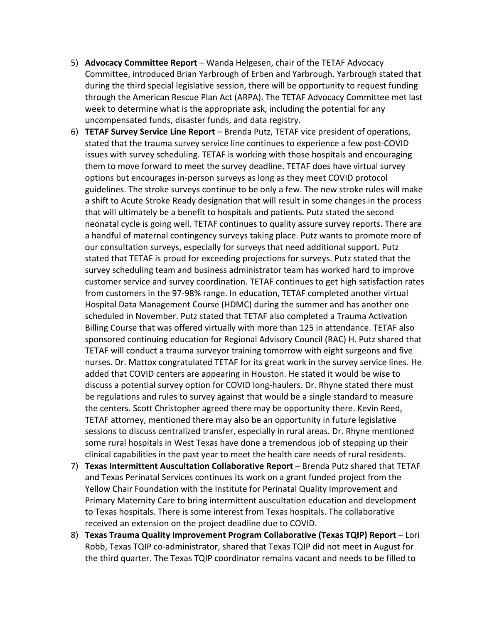- 5) **Advocacy Committee Report** Wanda Helgesen, chair of the TETAF Advocacy Committee, introduced Brian Yarbrough of Erben and Yarbrough. Yarbrough stated that during the third special legislative session, there will be opportunity to request funding through the American Rescue Plan Act (ARPA). The TETAF Advocacy Committee met last week to determine what is the appropriate ask, including the potential for any uncompensated funds, disaster funds, and data registry.
- 6) **TETAF Survey Service Line Report** Brenda Putz, TETAF vice president of operations, stated that the trauma survey service line continues to experience a few post-COVID issues with survey scheduling. TETAF is working with those hospitals and encouraging them to move forward to meet the survey deadline. TETAF does have virtual survey options but encourages in-person surveys as long as they meet COVID protocol guidelines. The stroke surveys continue to be only a few. The new stroke rules will make a shift to Acute Stroke Ready designation that will result in some changes in the process that will ultimately be a benefit to hospitals and patients. Putz stated the second neonatal cycle is going well. TETAF continues to quality assure survey reports. There are a handful of maternal contingency surveys taking place. Putz wants to promote more of our consultation surveys, especially for surveys that need additional support. Putz stated that TETAF is proud for exceeding projections for surveys. Putz stated that the survey scheduling team and business administrator team has worked hard to improve customer service and survey coordination. TETAF continues to get high satisfaction rates from customers in the 97-98% range. In education, TETAF completed another virtual Hospital Data Management Course (HDMC) during the summer and has another one scheduled in November. Putz stated that TETAF also completed a Trauma Activation Billing Course that was offered virtually with more than 125 in attendance. TETAF also sponsored continuing education for Regional Advisory Council (RAC) H. Putz shared that TETAF will conduct a trauma surveyor training tomorrow with eight surgeons and five nurses. Dr. Mattox congratulated TETAF for its great work in the survey service lines. He added that COVID centers are appearing in Houston. He stated it would be wise to discuss a potential survey option for COVID long-haulers. Dr. Rhyne stated there must be regulations and rules to survey against that would be a single standard to measure the centers. Scott Christopher agreed there may be opportunity there. Kevin Reed, TETAF attorney, mentioned there may also be an opportunity in future legislative sessions to discuss centralized transfer, especially in rural areas. Dr. Rhyne mentioned some rural hospitals in West Texas have done a tremendous job of stepping up their clinical capabilities in the past year to meet the health care needs of rural residents.
- 7) **Texas Intermittent Auscultation Collaborative Report** Brenda Putz shared that TETAF and Texas Perinatal Services continues its work on a grant funded project from the Yellow Chair Foundation with the Institute for Perinatal Quality Improvement and Primary Maternity Care to bring intermittent auscultation education and development to Texas hospitals. There is some interest from Texas hospitals. The collaborative received an extension on the project deadline due to COVID.
- 8) **Texas Trauma Quality Improvement Program Collaborative (Texas TQIP) Report** Lori Robb, Texas TQIP co-administrator, shared that Texas TQIP did not meet in August for the third quarter. The Texas TQIP coordinator remains vacant and needs to be filled to